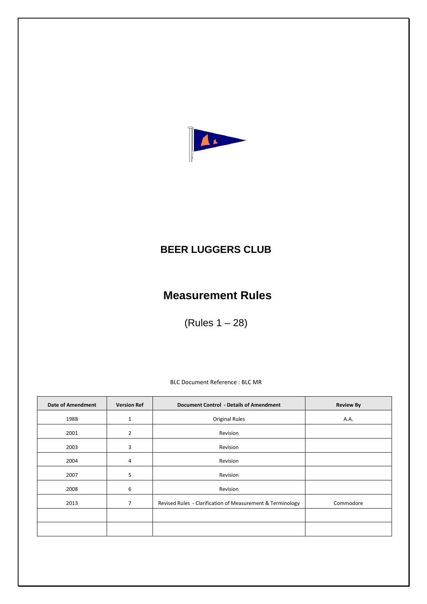

## **BEER LUGGERS CLUB**

## **Measurement Rules**

(Rules 1 – 28)

BLC Document Reference : BLC MR

| <b>Date of Amendment</b> | <b>Version Ref</b> | <b>Document Control - Details of Amendment</b>             | <b>Review By</b> |
|--------------------------|--------------------|------------------------------------------------------------|------------------|
| 1988                     | $\mathbf{1}$       | <b>Original Rules</b>                                      | A.A.             |
| 2001                     | $\overline{2}$     | Revision                                                   |                  |
| 2003                     | 3                  | Revision                                                   |                  |
| 2004                     | 4                  | Revision                                                   |                  |
| 2007                     | 5                  | Revision                                                   |                  |
| 2008                     | 6                  | Revision                                                   |                  |
| 2013                     | 7                  | Revised Rules - Clarification of Measurement & Terminology | Commodore        |
|                          |                    |                                                            |                  |
|                          |                    |                                                            |                  |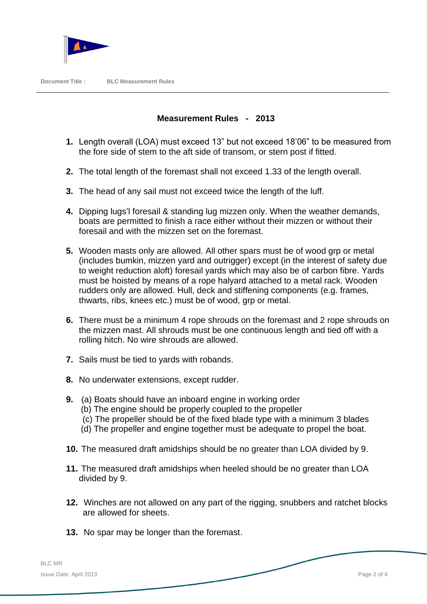

## **Measurement Rules - 2013**

- **1.** Length overall (LOA) must exceed 13" but not exceed 18'06" to be measured from the fore side of stem to the aft side of transom, or stern post if fitted.
- **2.** The total length of the foremast shall not exceed 1.33 of the length overall.
- **3.** The head of any sail must not exceed twice the length of the luff.
- **4.** Dipping lugs'l foresail & standing lug mizzen only. When the weather demands, boats are permitted to finish a race either without their mizzen or without their foresail and with the mizzen set on the foremast.
- **5.** Wooden masts only are allowed. All other spars must be of wood grp or metal (includes bumkin, mizzen yard and outrigger) except (in the interest of safety due to weight reduction aloft) foresail yards which may also be of carbon fibre. Yards must be hoisted by means of a rope halyard attached to a metal rack. Wooden rudders only are allowed. Hull, deck and stiffening components (e.g. frames, thwarts, ribs, knees etc.) must be of wood, grp or metal.
- **6.** There must be a minimum 4 rope shrouds on the foremast and 2 rope shrouds on the mizzen mast. All shrouds must be one continuous length and tied off with a rolling hitch. No wire shrouds are allowed.
- **7.** Sails must be tied to yards with robands.
- **8.** No underwater extensions, except rudder.
- **9.** (a) Boats should have an inboard engine in working order
	- (b) The engine should be properly coupled to the propeller
	- (c) The propeller should be of the fixed blade type with a minimum 3 blades
	- (d) The propeller and engine together must be adequate to propel the boat.
- **10.** The measured draft amidships should be no greater than LOA divided by 9.
- **11.** The measured draft amidships when heeled should be no greater than LOA divided by 9.
- **12.** Winches are not allowed on any part of the rigging, snubbers and ratchet blocks are allowed for sheets.
- **13.** No spar may be longer than the foremast.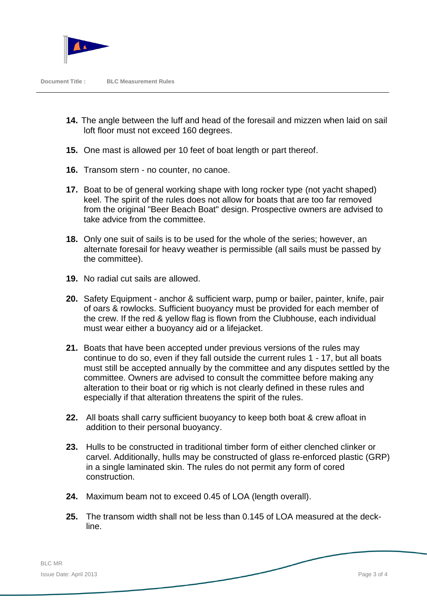

- **14.** The angle between the luff and head of the foresail and mizzen when laid on sail loft floor must not exceed 160 degrees.
- **15.** One mast is allowed per 10 feet of boat length or part thereof.
- **16.** Transom stern no counter, no canoe.
- **17.** Boat to be of general working shape with long rocker type (not yacht shaped) keel. The spirit of the rules does not allow for boats that are too far removed from the original "Beer Beach Boat" design. Prospective owners are advised to take advice from the committee.
- **18.** Only one suit of sails is to be used for the whole of the series; however, an alternate foresail for heavy weather is permissible (all sails must be passed by the committee).
- **19.** No radial cut sails are allowed.
- **20.** Safety Equipment anchor & sufficient warp, pump or bailer, painter, knife, pair of oars & rowlocks. Sufficient buoyancy must be provided for each member of the crew. If the red & yellow flag is flown from the Clubhouse, each individual must wear either a buoyancy aid or a lifejacket.
- **21.** Boats that have been accepted under previous versions of the rules may continue to do so, even if they fall outside the current rules 1 - 17, but all boats must still be accepted annually by the committee and any disputes settled by the committee. Owners are advised to consult the committee before making any alteration to their boat or rig which is not clearly defined in these rules and especially if that alteration threatens the spirit of the rules.
- **22.** All boats shall carry sufficient buoyancy to keep both boat & crew afloat in addition to their personal buoyancy.
- **23.** Hulls to be constructed in traditional timber form of either clenched clinker or carvel. Additionally, hulls may be constructed of glass re-enforced plastic (GRP) in a single laminated skin. The rules do not permit any form of cored construction.
- **24.** Maximum beam not to exceed 0.45 of LOA (length overall).
- **25.** The transom width shall not be less than 0.145 of LOA measured at the deck line.